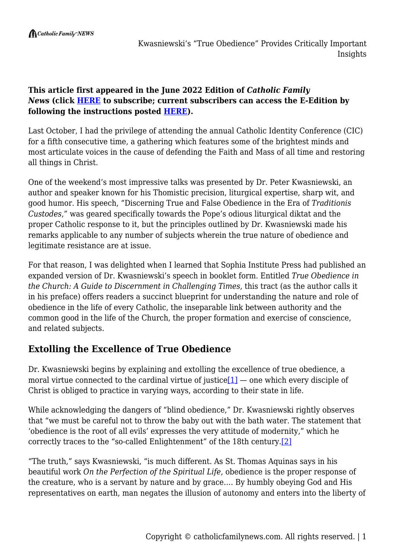#### **This article first appeared in the June 2022 Edition of** *Catholic Family News* **(click [HERE](https://catholicfamilynews.com/new-subscription/) to subscribe; current subscribers can access the E-Edition by following the instructions posted [HERE](https://catholicfamilynews.com/blog/2021/11/09/cfns-new-e-edition/)).**

Last October, I had the privilege of attending the annual Catholic Identity Conference (CIC) for a fifth consecutive time, a gathering which features some of the brightest minds and most articulate voices in the cause of defending the Faith and Mass of all time and restoring all things in Christ.

One of the weekend's most impressive talks was presented by Dr. Peter Kwasniewski, an author and speaker known for his Thomistic precision, liturgical expertise, sharp wit, and good humor. His speech, "Discerning True and False Obedience in the Era of *Traditionis Custodes*," was geared specifically towards the Pope's odious liturgical diktat and the proper Catholic response to it, but the principles outlined by Dr. Kwasniewski made his remarks applicable to any number of subjects wherein the true nature of obedience and legitimate resistance are at issue.

For that reason, I was delighted when I learned that Sophia Institute Press had published an expanded version of Dr. Kwasniewski's speech in booklet form. Entitled *True Obedience in the Church: A Guide to Discernment in Challenging Times*, this tract (as the author calls it in his preface) offers readers a succinct blueprint for understanding the nature and role of obedience in the life of every Catholic, the inseparable link between authority and the common good in the life of the Church, the proper formation and exercise of conscience, and related subjects.

## **Extolling the Excellence of True Obedience**

Dr. Kwasniewski begins by explaining and extolling the excellence of true obedience, a moral virtue connected to the cardinal virtue of justice $[1]$  — one which every disciple of Christ is obliged to practice in varying ways, according to their state in life.

While acknowledging the dangers of "blind obedience," Dr. Kwasniewski rightly observes that "we must be careful not to throw the baby out with the bath water. The statement that 'obedience is the root of all evils' expresses the very attitude of modernity," which he correctly traces to the "so-called Enlightenment" of the 18th century[.\[2\]](#page--1-0)

"The truth," says Kwasniewski, "is much different. As St. Thomas Aquinas says in his beautiful work *On the Perfection of the Spiritual Life*, obedience is the proper response of the creature, who is a servant by nature and by grace…. By humbly obeying God and His representatives on earth, man negates the illusion of autonomy and enters into the liberty of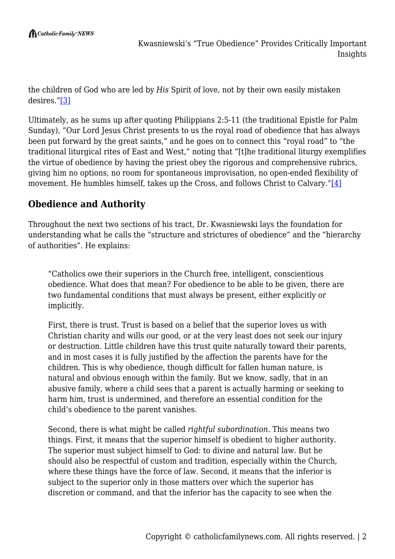the children of God who are led by *His* Spirit of love, not by their own easily mistaken desires."[\[3\]](#page--1-0)

Ultimately, as he sums up after quoting Philippians 2:5-11 (the traditional Epistle for Palm Sunday), "Our Lord Jesus Christ presents to us the royal road of obedience that has always been put forward by the great saints," and he goes on to connect this "royal road" to "the traditional liturgical rites of East and West," noting that "[t]he traditional liturgy exemplifies the virtue of obedience by having the priest obey the rigorous and comprehensive rubrics, giving him no options, no room for spontaneous improvisation, no open-ended flexibility of movement. He humbles himself, takes up the Cross, and follows Christ to Calvary."[\[4\]](#page--1-0)

## **Obedience and Authority**

Throughout the next two sections of his tract, Dr. Kwasniewski lays the foundation for understanding what he calls the "structure and strictures of obedience" and the "hierarchy of authorities". He explains:

"Catholics owe their superiors in the Church free, intelligent, conscientious obedience. What does that mean? For obedience to be able to be given, there are two fundamental conditions that must always be present, either explicitly or implicitly.

First, there is trust. Trust is based on a belief that the superior loves us with Christian charity and wills our good, or at the very least does not seek our injury or destruction. Little children have this trust quite naturally toward their parents, and in most cases it is fully justified by the affection the parents have for the children. This is why obedience, though difficult for fallen human nature, is natural and obvious enough within the family. But we know, sadly, that in an abusive family, where a child sees that a parent is actually harming or seeking to harm him, trust is undermined, and therefore an essential condition for the child's obedience to the parent vanishes.

Second, there is what might be called *rightful subordination*. This means two things. First, it means that the superior himself is obedient to higher authority. The superior must subject himself to God: to divine and natural law. But he should also be respectful of custom and tradition, especially within the Church, where these things have the force of law. Second, it means that the inferior is subject to the superior only in those matters over which the superior has discretion or command, and that the inferior has the capacity to see when the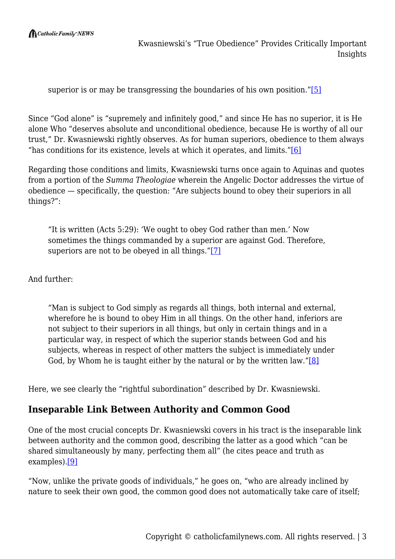$\bigcap$  Catholic Family NEWS

Kwasniewski's "True Obedience" Provides Critically Important Insights

superior is or may be transgressing the boundaries of his own position."[\[5\]](#page--1-0)

Since "God alone" is "supremely and infinitely good," and since He has no superior, it is He alone Who "deserves absolute and unconditional obedience, because He is worthy of all our trust," Dr. Kwasniewski rightly observes. As for human superiors, obedience to them always "has conditions for its existence, levels at which it operates, and limits." $[6]$ 

Regarding those conditions and limits, Kwasniewski turns once again to Aquinas and quotes from a portion of the *Summa Theologiae* wherein the Angelic Doctor addresses the virtue of obedience — specifically, the question: "Are subjects bound to obey their superiors in all things?":

"It is written (Acts 5:29): 'We ought to obey God rather than men.' Now sometimes the things commanded by a superior are against God. Therefore, superiors are not to be obeyed in all things."[\[7\]](#page--1-0)

And further:

"Man is subject to God simply as regards all things, both internal and external, wherefore he is bound to obey Him in all things. On the other hand, inferiors are not subject to their superiors in all things, but only in certain things and in a particular way, in respect of which the superior stands between God and his subjects, whereas in respect of other matters the subject is immediately under God, by Whom he is taught either by the natural or by the written law." $[8]$ 

Here, we see clearly the "rightful subordination" described by Dr. Kwasniewski.

### **Inseparable Link Between Authority and Common Good**

One of the most crucial concepts Dr. Kwasniewski covers in his tract is the inseparable link between authority and the common good, describing the latter as a good which "can be shared simultaneously by many, perfecting them all" (he cites peace and truth as examples).[\[9\]](#page--1-0)

"Now, unlike the private goods of individuals," he goes on, "who are already inclined by nature to seek their own good, the common good does not automatically take care of itself;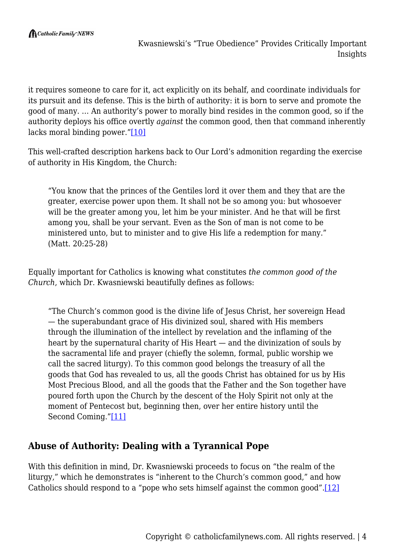it requires someone to care for it, act explicitly on its behalf, and coordinate individuals for its pursuit and its defense. This is the birth of authority: it is born to serve and promote the good of many. … An authority's power to morally bind resides in the common good, so if the authority deploys his office overtly *against* the common good, then that command inherently lacks moral binding power.["\[10\]](#page--1-0)

This well-crafted description harkens back to Our Lord's admonition regarding the exercise of authority in His Kingdom, the Church:

"You know that the princes of the Gentiles lord it over them and they that are the greater, exercise power upon them. It shall not be so among you: but whosoever will be the greater among you, let him be your minister. And he that will be first among you, shall be your servant. Even as the Son of man is not come to be ministered unto, but to minister and to give His life a redemption for many." (Matt. 20:25-28)

Equally important for Catholics is knowing what constitutes *the common good of the Church*, which Dr. Kwasniewski beautifully defines as follows:

"The Church's common good is the divine life of Jesus Christ, her sovereign Head — the superabundant grace of His divinized soul, shared with His members through the illumination of the intellect by revelation and the inflaming of the heart by the supernatural charity of His Heart — and the divinization of souls by the sacramental life and prayer (chiefly the solemn, formal, public worship we call the sacred liturgy). To this common good belongs the treasury of all the goods that God has revealed to us, all the goods Christ has obtained for us by His Most Precious Blood, and all the goods that the Father and the Son together have poured forth upon the Church by the descent of the Holy Spirit not only at the moment of Pentecost but, beginning then, over her entire history until the Second Coming.["\[11\]](#page--1-0)

## **Abuse of Authority: Dealing with a Tyrannical Pope**

With this definition in mind, Dr. Kwasniewski proceeds to focus on "the realm of the liturgy," which he demonstrates is "inherent to the Church's common good," and how Catholics should respond to a "pope who sets himself against the common good"[.\[12\]](#page--1-0)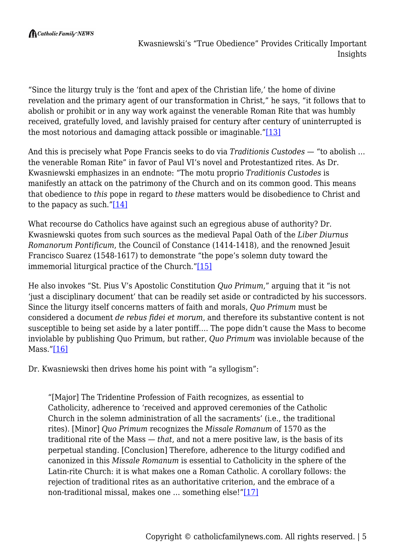"Since the liturgy truly is the 'font and apex of the Christian life,' the home of divine revelation and the primary agent of our transformation in Christ," he says, "it follows that to abolish or prohibit or in any way work against the venerable Roman Rite that was humbly received, gratefully loved, and lavishly praised for century after century of uninterrupted is the most notorious and damaging attack possible or imaginable."[\[13\]](#page--1-0)

And this is precisely what Pope Francis seeks to do via *Traditionis Custodes* — "to abolish … the venerable Roman Rite" in favor of Paul VI's novel and Protestantized rites. As Dr. Kwasniewski emphasizes in an endnote: "The motu proprio *Traditionis Custodes* is manifestly an attack on the patrimony of the Church and on its common good. This means that obedience to *this* pope in regard to *these* matters would be disobedience to Christ and to the papacy as such.["\[14\]](#page--1-0)

What recourse do Catholics have against such an egregious abuse of authority? Dr. Kwasniewski quotes from such sources as the medieval Papal Oath of the *Liber Diurnus Romanorum Pontificum*, the Council of Constance (1414-1418), and the renowned Jesuit Francisco Suarez (1548-1617) to demonstrate "the pope's solemn duty toward the immemorial liturgical practice of the Church.["\[15\]](#page--1-0)

He also invokes "St. Pius V's Apostolic Constitution *Quo Primum*," arguing that it "is not 'just a disciplinary document' that can be readily set aside or contradicted by his successors. Since the liturgy itself concerns matters of faith and morals, *Quo Primum* must be considered a document *de rebus fidei et morum*, and therefore its substantive content is not susceptible to being set aside by a later pontiff…. The pope didn't cause the Mass to become inviolable by publishing Quo Primum, but rather, *Quo Primum* was inviolable because of the Mass.["\[16\]](#page--1-0)

Dr. Kwasniewski then drives home his point with "a syllogism":

"[Major] The Tridentine Profession of Faith recognizes, as essential to Catholicity, adherence to 'received and approved ceremonies of the Catholic Church in the solemn administration of all the sacraments' (i.e., the traditional rites). [Minor] *Quo Primum* recognizes the *Missale Romanum* of 1570 as the traditional rite of the Mass — *that*, and not a mere positive law, is the basis of its perpetual standing. [Conclusion] Therefore, adherence to the liturgy codified and canonized in this *Missale Romanum* is essential to Catholicity in the sphere of the Latin-rite Church: it is what makes one a Roman Catholic. A corollary follows: the rejection of traditional rites as an authoritative criterion, and the embrace of a non-traditional missal, makes one … something else!["\[17\]](#page--1-0)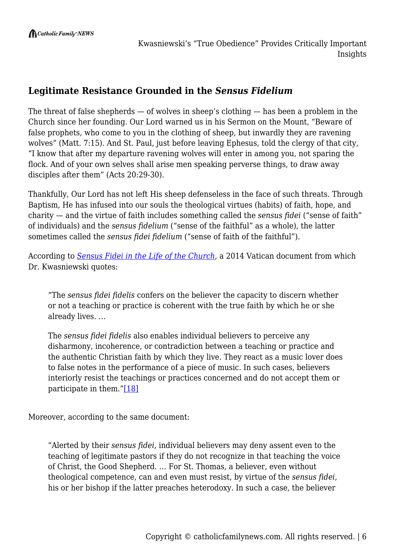## **Legitimate Resistance Grounded in the** *Sensus Fidelium*

The threat of false shepherds  $-$  of wolves in sheep's clothing  $-$  has been a problem in the Church since her founding. Our Lord warned us in his Sermon on the Mount, "Beware of false prophets, who come to you in the clothing of sheep, but inwardly they are ravening wolves" (Matt. 7:15). And St. Paul, just before leaving Ephesus, told the clergy of that city, "I know that after my departure ravening wolves will enter in among you, not sparing the flock. And of your own selves shall arise men speaking perverse things, to draw away disciples after them" (Acts 20:29-30).

Thankfully, Our Lord has not left His sheep defenseless in the face of such threats. Through Baptism, He has infused into our souls the theological virtues (habits) of faith, hope, and charity — and the virtue of faith includes something called the *sensus fidei* ("sense of faith" of individuals) and the *sensus fidelium* ("sense of the faithful" as a whole), the latter sometimes called the *sensus fidei fidelium* ("sense of faith of the faithful").

According to *[Sensus Fidei in the Life of the Church](https://www.vatican.va/roman_curia/congregations/cfaith/cti_documents/rc_cti_20140610_sensus-fidei_en.html)*, a 2014 Vatican document from which Dr. Kwasniewski quotes:

"The *sensus fidei fidelis* confers on the believer the capacity to discern whether or not a teaching or practice is coherent with the true faith by which he or she already lives. …

The *sensus fidei fidelis* also enables individual believers to perceive any disharmony, incoherence, or contradiction between a teaching or practice and the authentic Christian faith by which they live. They react as a music lover does to false notes in the performance of a piece of music. In such cases, believers interiorly resist the teachings or practices concerned and do not accept them or participate in them."[\[18\]](#page--1-0)

Moreover, according to the same document:

"Alerted by their *sensus fidei*, individual believers may deny assent even to the teaching of legitimate pastors if they do not recognize in that teaching the voice of Christ, the Good Shepherd. … For St. Thomas, a believer, even without theological competence, can and even must resist, by virtue of the *sensus fidei*, his or her bishop if the latter preaches heterodoxy. In such a case, the believer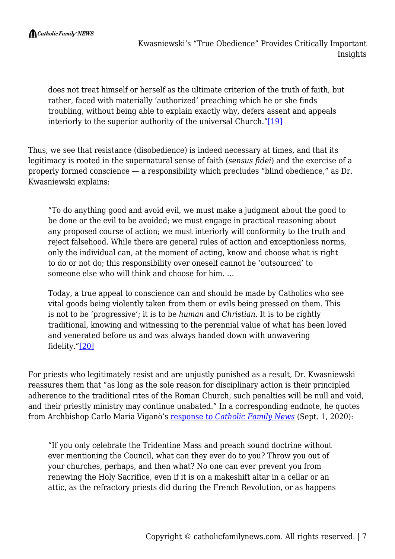does not treat himself or herself as the ultimate criterion of the truth of faith, but rather, faced with materially 'authorized' preaching which he or she finds troubling, without being able to explain exactly why, defers assent and appeals interiorly to the superior authority of the universal Church."[\[19\]](#page--1-0)

Thus, we see that resistance (disobedience) is indeed necessary at times, and that its legitimacy is rooted in the supernatural sense of faith (*sensus fidei*) and the exercise of a properly formed conscience — a responsibility which precludes "blind obedience," as Dr. Kwasniewski explains:

"To do anything good and avoid evil, we must make a judgment about the good to be done or the evil to be avoided; we must engage in practical reasoning about any proposed course of action; we must interiorly will conformity to the truth and reject falsehood. While there are general rules of action and exceptionless norms, only the individual can, at the moment of acting, know and choose what is right to do or not do; this responsibility over oneself cannot be 'outsourced' to someone else who will think and choose for him. …

Today, a true appeal to conscience can and should be made by Catholics who see vital goods being violently taken from them or evils being pressed on them. This is not to be 'progressive'; it is to be *human* and *Christian*. It is to be rightly traditional, knowing and witnessing to the perennial value of what has been loved and venerated before us and was always handed down with unwavering fidelity."[\[20\]](#page--1-0)

For priests who legitimately resist and are unjustly punished as a result, Dr. Kwasniewski reassures them that "as long as the sole reason for disciplinary action is their principled adherence to the traditional rites of the Roman Church, such penalties will be null and void, and their priestly ministry may continue unabated." In a corresponding endnote, he quotes from Archbishop Carlo Maria Viganò's [response to](https://catholicfamilynews.com/blog/2020/09/01/breaking-news-archbishop-vigano-responds-to-questions-posed-by-cfn) *[Catholic Family News](https://catholicfamilynews.com/blog/2020/09/01/breaking-news-archbishop-vigano-responds-to-questions-posed-by-cfn)* (Sept. 1, 2020):

"If you only celebrate the Tridentine Mass and preach sound doctrine without ever mentioning the Council, what can they ever do to you? Throw you out of your churches, perhaps, and then what? No one can ever prevent you from renewing the Holy Sacrifice, even if it is on a makeshift altar in a cellar or an attic, as the refractory priests did during the French Revolution, or as happens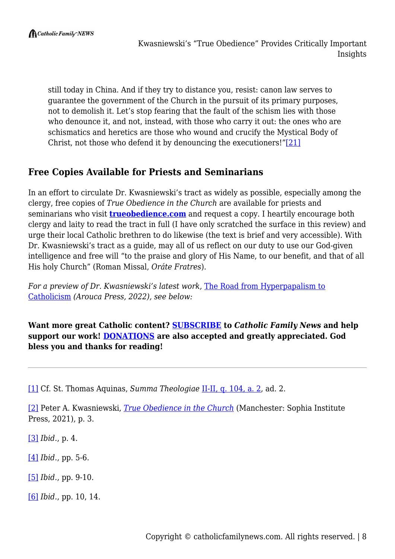still today in China. And if they try to distance you, resist: canon law serves to guarantee the government of the Church in the pursuit of its primary purposes, not to demolish it. Let's stop fearing that the fault of the schism lies with those who denounce it, and not, instead, with those who carry it out: the ones who are schismatics and heretics are those who wound and crucify the Mystical Body of Christ, not those who defend it by denouncing the executioners!"[\[21\]](#page--1-0)

# **Free Copies Available for Priests and Seminarians**

In an effort to circulate Dr. Kwasniewski's tract as widely as possible, especially among the clergy, free copies of *True Obedience in the Church* are available for priests and seminarians who visit **[trueobedience.com](https://trueobedience.com/)** and request a copy. I heartily encourage both clergy and laity to read the tract in full (I have only scratched the surface in this review) and urge their local Catholic brethren to do likewise (the text is brief and very accessible). With Dr. Kwasniewski's tract as a guide, may all of us reflect on our duty to use our God-given intelligence and free will "to the praise and glory of His Name, to our benefit, and that of all His holy Church" (Roman Missal, *Oráte Fratres*).

*For a preview of Dr. Kwasniewski's latest work, [The Road from Hyperpapalism to](http://aroucapress.com/the-road-from-hyperpapalism-set)* [Catholicism](http://aroucapress.com/the-road-from-hyperpapalism-set) *(Arouca Press, 2022), see below:*

**Want more great Catholic content? [SUBSCRIBE](https://www.catholicfamilynews.com/new-subscription) to** *Catholic Family News* **and help support our work! [DONATIONS](https://catholicfamilynews.com/donate/) are also accepted and greatly appreciated. God bless you and thanks for reading!**

[\[1\]](#page--1-0) Cf. St. Thomas Aquinas, *Summa Theologiae* [II-II, q. 104, a. 2](https://www.newadvent.org/summa/3104.htm#article2), ad. 2.

[\[2\]](#page--1-0) Peter A. Kwasniewski, *[True Obedience in the Church](https://www.sophiainstitute.com/products/item/true-obedience-in-the-church)* (Manchester: Sophia Institute Press, 2021), p. 3.

[\[3\]](#page--1-0) *Ibid.*, p. 4.

[\[4\]](#page--1-0) *Ibid.*, pp. 5-6.

[\[5\]](#page--1-0) *Ibid.*, pp. 9-10.

[\[6\]](#page--1-0) *Ibid.*, pp. 10, 14.